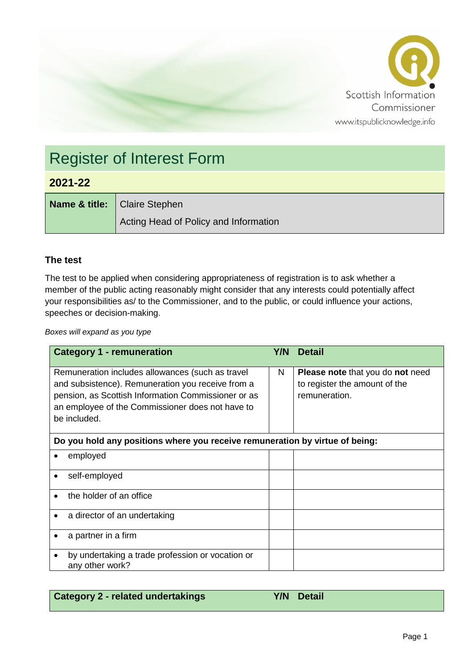

# Register of Interest Form

### **2021-22**

**Name & title:** Claire Stephen Acting Head of Policy and Information

#### **The test**

The test to be applied when considering appropriateness of registration is to ask whether a member of the public acting reasonably might consider that any interests could potentially affect your responsibilities as/ to the Commissioner, and to the public, or could influence your actions, speeches or decision-making.

*Boxes will expand as you type*

| <b>Category 1 - remuneration</b>                                                                                                                                                                                                 | Y/N l | <b>Detail</b>                                                                             |  |  |
|----------------------------------------------------------------------------------------------------------------------------------------------------------------------------------------------------------------------------------|-------|-------------------------------------------------------------------------------------------|--|--|
| Remuneration includes allowances (such as travel<br>and subsistence). Remuneration you receive from a<br>pension, as Scottish Information Commissioner or as<br>an employee of the Commissioner does not have to<br>be included. | N     | <b>Please note that you do not need</b><br>to register the amount of the<br>remuneration. |  |  |
| Do you hold any positions where you receive remuneration by virtue of being:                                                                                                                                                     |       |                                                                                           |  |  |
| employed                                                                                                                                                                                                                         |       |                                                                                           |  |  |
| self-employed                                                                                                                                                                                                                    |       |                                                                                           |  |  |
| the holder of an office                                                                                                                                                                                                          |       |                                                                                           |  |  |
| a director of an undertaking<br>٠                                                                                                                                                                                                |       |                                                                                           |  |  |
| a partner in a firm                                                                                                                                                                                                              |       |                                                                                           |  |  |
| by undertaking a trade profession or vocation or<br>any other work?                                                                                                                                                              |       |                                                                                           |  |  |

| <b>Category 2 - related undertakings</b> | Y/N Detail |  |
|------------------------------------------|------------|--|
|                                          |            |  |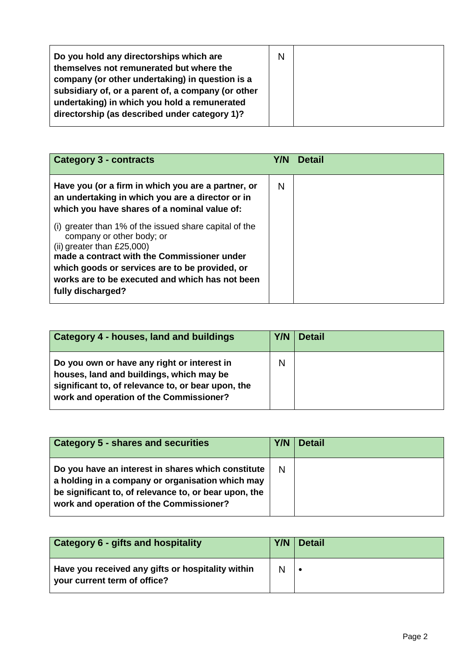| Have you (or a firm in which you are a partner, or<br>N<br>an undertaking in which you are a director or in                                                                                                                                                                                                                                   | <b>Detail</b><br>Y/N |
|-----------------------------------------------------------------------------------------------------------------------------------------------------------------------------------------------------------------------------------------------------------------------------------------------------------------------------------------------|----------------------|
| which you have shares of a nominal value of:<br>(i) greater than 1% of the issued share capital of the<br>company or other body; or<br>(ii) greater than $£25,000$ )<br>made a contract with the Commissioner under<br>which goods or services are to be provided, or<br>works are to be executed and which has not been<br>fully discharged? |                      |

| <b>Category 4 - houses, land and buildings</b>                                                                                                                                           | <b>Y/N</b> | <b>Detail</b> |
|------------------------------------------------------------------------------------------------------------------------------------------------------------------------------------------|------------|---------------|
| Do you own or have any right or interest in<br>houses, land and buildings, which may be<br>significant to, of relevance to, or bear upon, the<br>work and operation of the Commissioner? | N          |               |

| <b>Category 5 - shares and securities</b>                                                                                                                                                                  | Y/N | <b>Detail</b> |
|------------------------------------------------------------------------------------------------------------------------------------------------------------------------------------------------------------|-----|---------------|
| Do you have an interest in shares which constitute<br>a holding in a company or organisation which may<br>be significant to, of relevance to, or bear upon, the<br>work and operation of the Commissioner? | N   |               |

| <b>Category 6 - gifts and hospitality</b>                                         | $Y/N$ Detail |
|-----------------------------------------------------------------------------------|--------------|
| Have you received any gifts or hospitality within<br>your current term of office? |              |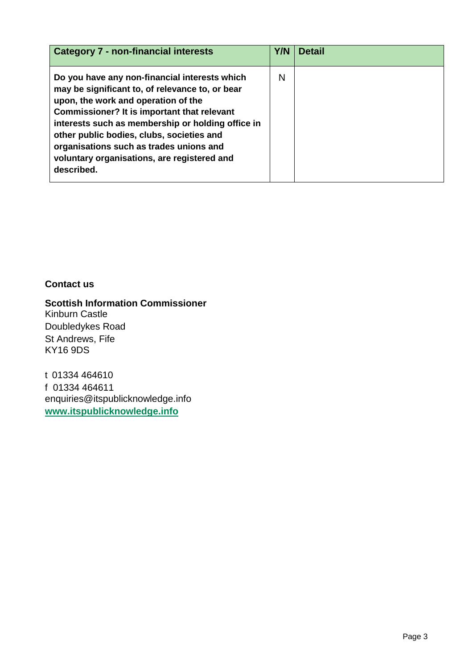| <b>Category 7 - non-financial interests</b>                                                                                                                                                                                                                                                                                                                                                      | Y/N | <b>Detail</b> |
|--------------------------------------------------------------------------------------------------------------------------------------------------------------------------------------------------------------------------------------------------------------------------------------------------------------------------------------------------------------------------------------------------|-----|---------------|
| Do you have any non-financial interests which<br>may be significant to, of relevance to, or bear<br>upon, the work and operation of the<br>Commissioner? It is important that relevant<br>interests such as membership or holding office in<br>other public bodies, clubs, societies and<br>organisations such as trades unions and<br>voluntary organisations, are registered and<br>described. | N   |               |

#### **Contact us**

**Scottish Information Commissioner** Kinburn Castle Doubledykes Road St Andrews, Fife KY16 9DS

t 01334 464610 f 01334 464611 enquiries@itspublicknowledge.info **[www.itspublicknowledge.info](http://www.itspublicknowledge.info/)**